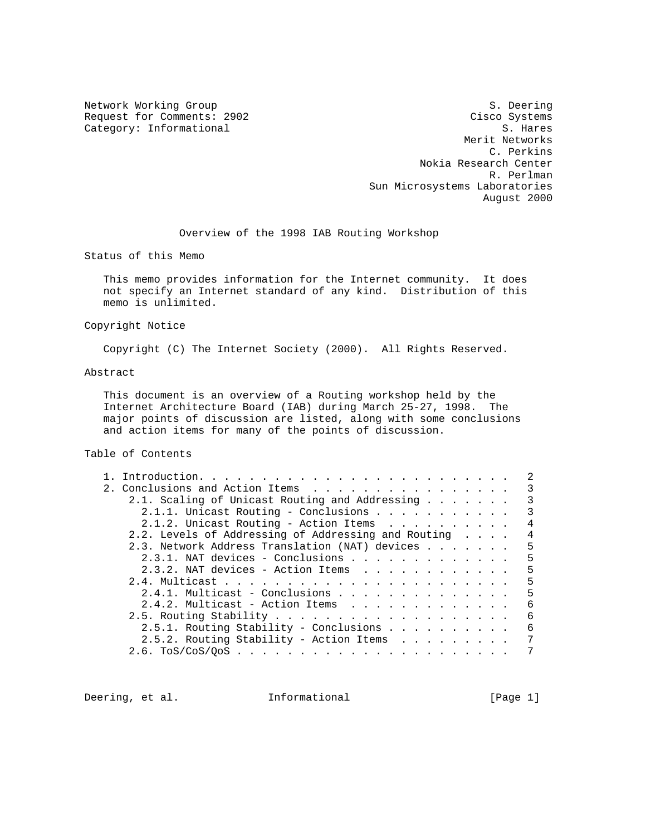Category: Informational

Network Working Group S. Deering S. Deering Request for Comments: 2902 Cisco Systems Category: Informational Category: The Category: Informational Category: The Category: The Category: The Category: The Category: The Category: The Category: The Category: The Categor Merit Networks C. Perkins Nokia Research Center R. Perlman Sun Microsystems Laboratories August 2000

Overview of the 1998 IAB Routing Workshop

Status of this Memo

 This memo provides information for the Internet community. It does not specify an Internet standard of any kind. Distribution of this memo is unlimited.

### Copyright Notice

Copyright (C) The Internet Society (2000). All Rights Reserved.

# Abstract

 This document is an overview of a Routing workshop held by the Internet Architecture Board (IAB) during March 25-27, 1998. The major points of discussion are listed, along with some conclusions and action items for many of the points of discussion.

# Table of Contents

|                                                     |  |  | $\mathcal{L}$ |
|-----------------------------------------------------|--|--|---------------|
|                                                     |  |  | 3             |
| 2.1. Scaling of Unicast Routing and Addressing      |  |  | 3             |
| 2.1.1. Unicast Routing - Conclusions                |  |  | 3             |
| 2.1.2. Unicast Routing - Action Items               |  |  | 4             |
| 2.2. Levels of Addressing of Addressing and Routing |  |  | 4             |
| 2.3. Network Address Translation (NAT) devices      |  |  | .5            |
| 2.3.1. NAT devices - Conclusions                    |  |  | 5             |
| 2.3.2. NAT devices - Action Items                   |  |  | 5             |
|                                                     |  |  | .5            |
|                                                     |  |  | 5             |
| 2.4.2. Multicast - Action Items                     |  |  | 6             |
|                                                     |  |  | 6             |
| 2.5.1. Routing Stability - Conclusions              |  |  | 6             |
| $2.5.2.$ Routing Stability - Action Items           |  |  | 7             |
|                                                     |  |  | 7             |

Deering, et al. **Informational** [Page 1]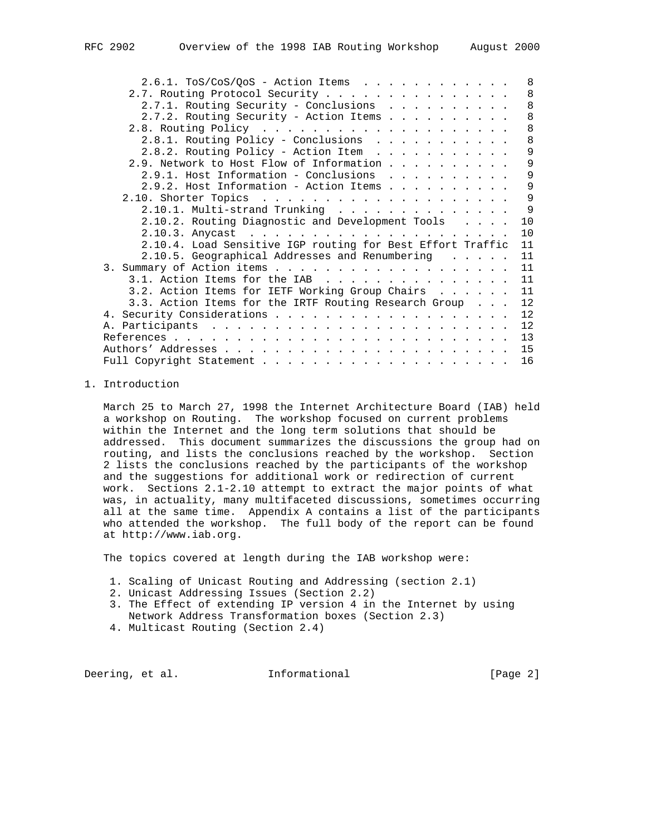| $2.6.1. ToS/CoS/QoS - Action Items$                        | 8  |
|------------------------------------------------------------|----|
| 2.7. Routing Protocol Security                             | 8  |
| 2.7.1. Routing Security - Conclusions                      | 8  |
| 2.7.2. Routing Security - Action Items                     | 8  |
|                                                            | 8  |
| 2.8.1. Routing Policy - Conclusions                        | 8  |
| 2.8.2. Routing Policy - Action Item                        | 9  |
| 2.9. Network to Host Flow of Information                   | 9  |
| 2.9.1. Host Information - Conclusions                      | 9  |
| $2.9.2.$ Host Information - Action Items                   | 9  |
|                                                            | 9  |
| $2.10.1.$ Multi-strand Trunking                            | 9  |
| 2.10.2. Routing Diagnostic and Development Tools           | 10 |
|                                                            | 10 |
| 2.10.4. Load Sensitive IGP routing for Best Effort Traffic | 11 |
| 2.10.5. Geographical Addresses and Renumbering             | 11 |
|                                                            | 11 |
| 3.1. Action Items for the IAB                              | 11 |
| 3.2. Action Items for IETF Working Group Chairs            | 11 |
| 3.3. Action Items for the IRTF Routing Research Group      | 12 |
|                                                            | 12 |
|                                                            | 12 |
|                                                            | 13 |
|                                                            | 15 |
|                                                            | 16 |

## 1. Introduction

 March 25 to March 27, 1998 the Internet Architecture Board (IAB) held a workshop on Routing. The workshop focused on current problems within the Internet and the long term solutions that should be addressed. This document summarizes the discussions the group had on routing, and lists the conclusions reached by the workshop. Section 2 lists the conclusions reached by the participants of the workshop and the suggestions for additional work or redirection of current work. Sections 2.1-2.10 attempt to extract the major points of what was, in actuality, many multifaceted discussions, sometimes occurring all at the same time. Appendix A contains a list of the participants who attended the workshop. The full body of the report can be found at http://www.iab.org.

The topics covered at length during the IAB workshop were:

- 1. Scaling of Unicast Routing and Addressing (section 2.1)
- 2. Unicast Addressing Issues (Section 2.2)
- 3. The Effect of extending IP version 4 in the Internet by using Network Address Transformation boxes (Section 2.3)
- 4. Multicast Routing (Section 2.4)

Deering, et al. **Informational** [Page 2]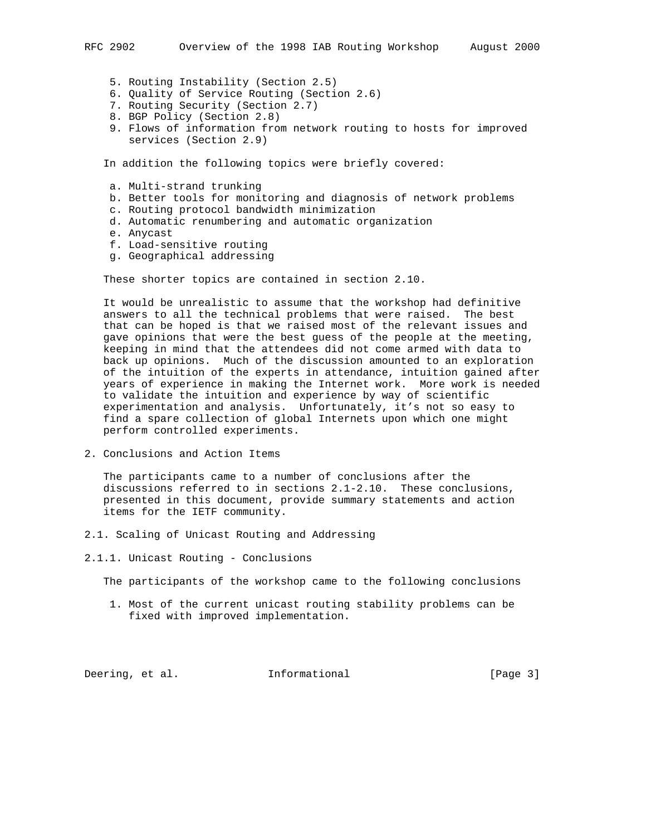- 5. Routing Instability (Section 2.5)
- 6. Quality of Service Routing (Section 2.6)
- 7. Routing Security (Section 2.7)
- 8. BGP Policy (Section 2.8)
- 9. Flows of information from network routing to hosts for improved services (Section 2.9)

In addition the following topics were briefly covered:

- a. Multi-strand trunking
- b. Better tools for monitoring and diagnosis of network problems
- c. Routing protocol bandwidth minimization
- d. Automatic renumbering and automatic organization
- e. Anycast
- f. Load-sensitive routing
- g. Geographical addressing

These shorter topics are contained in section 2.10.

 It would be unrealistic to assume that the workshop had definitive answers to all the technical problems that were raised. The best that can be hoped is that we raised most of the relevant issues and gave opinions that were the best guess of the people at the meeting, keeping in mind that the attendees did not come armed with data to back up opinions. Much of the discussion amounted to an exploration of the intuition of the experts in attendance, intuition gained after years of experience in making the Internet work. More work is needed to validate the intuition and experience by way of scientific experimentation and analysis. Unfortunately, it's not so easy to find a spare collection of global Internets upon which one might perform controlled experiments.

2. Conclusions and Action Items

 The participants came to a number of conclusions after the discussions referred to in sections 2.1-2.10. These conclusions, presented in this document, provide summary statements and action items for the IETF community.

- 2.1. Scaling of Unicast Routing and Addressing
- 2.1.1. Unicast Routing Conclusions

The participants of the workshop came to the following conclusions

 1. Most of the current unicast routing stability problems can be fixed with improved implementation.

Deering, et al. **Informational** [Page 3]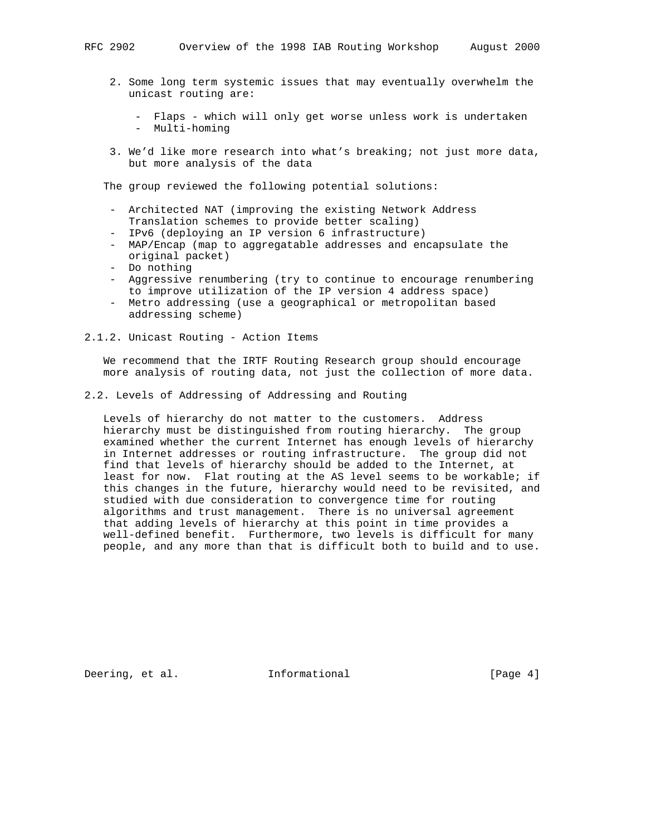- 2. Some long term systemic issues that may eventually overwhelm the unicast routing are:
	- Flaps which will only get worse unless work is undertaken - Multi-homing
- 3. We'd like more research into what's breaking; not just more data, but more analysis of the data

The group reviewed the following potential solutions:

- Architected NAT (improving the existing Network Address Translation schemes to provide better scaling)
- IPv6 (deploying an IP version 6 infrastructure)
- MAP/Encap (map to aggregatable addresses and encapsulate the original packet)
- Do nothing
- Aggressive renumbering (try to continue to encourage renumbering to improve utilization of the IP version 4 address space)
- Metro addressing (use a geographical or metropolitan based addressing scheme)
- 2.1.2. Unicast Routing Action Items

 We recommend that the IRTF Routing Research group should encourage more analysis of routing data, not just the collection of more data.

2.2. Levels of Addressing of Addressing and Routing

 Levels of hierarchy do not matter to the customers. Address hierarchy must be distinguished from routing hierarchy. The group examined whether the current Internet has enough levels of hierarchy in Internet addresses or routing infrastructure. The group did not find that levels of hierarchy should be added to the Internet, at least for now. Flat routing at the AS level seems to be workable; if this changes in the future, hierarchy would need to be revisited, and studied with due consideration to convergence time for routing algorithms and trust management. There is no universal agreement that adding levels of hierarchy at this point in time provides a well-defined benefit. Furthermore, two levels is difficult for many people, and any more than that is difficult both to build and to use.

Deering, et al. **Informational** [Page 4]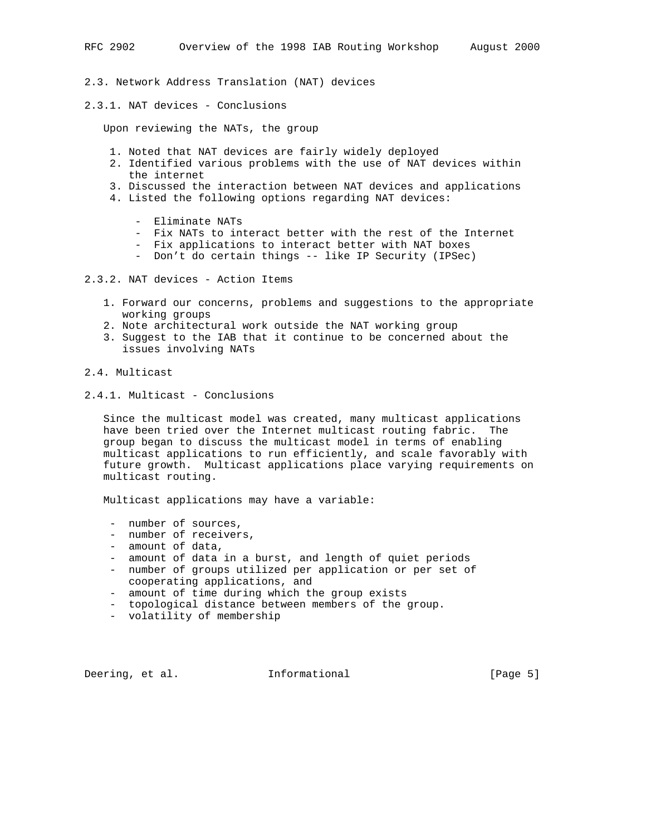- 2.3. Network Address Translation (NAT) devices
- 2.3.1. NAT devices Conclusions

Upon reviewing the NATs, the group

- 1. Noted that NAT devices are fairly widely deployed
- 2. Identified various problems with the use of NAT devices within the internet
- 3. Discussed the interaction between NAT devices and applications
- 4. Listed the following options regarding NAT devices:
	- Eliminate NATs
	- Fix NATs to interact better with the rest of the Internet
	- Fix applications to interact better with NAT boxes
	- Don't do certain things -- like IP Security (IPSec)
- 2.3.2. NAT devices Action Items
	- 1. Forward our concerns, problems and suggestions to the appropriate working groups
	- 2. Note architectural work outside the NAT working group
	- 3. Suggest to the IAB that it continue to be concerned about the issues involving NATs
- 2.4. Multicast
- 2.4.1. Multicast Conclusions

 Since the multicast model was created, many multicast applications have been tried over the Internet multicast routing fabric. The group began to discuss the multicast model in terms of enabling multicast applications to run efficiently, and scale favorably with future growth. Multicast applications place varying requirements on multicast routing.

Multicast applications may have a variable:

- number of sources,
- number of receivers,
- amount of data,
- amount of data in a burst, and length of quiet periods
- number of groups utilized per application or per set of cooperating applications, and
- amount of time during which the group exists
- topological distance between members of the group.
- volatility of membership

Deering, et al. **Informational** [Page 5]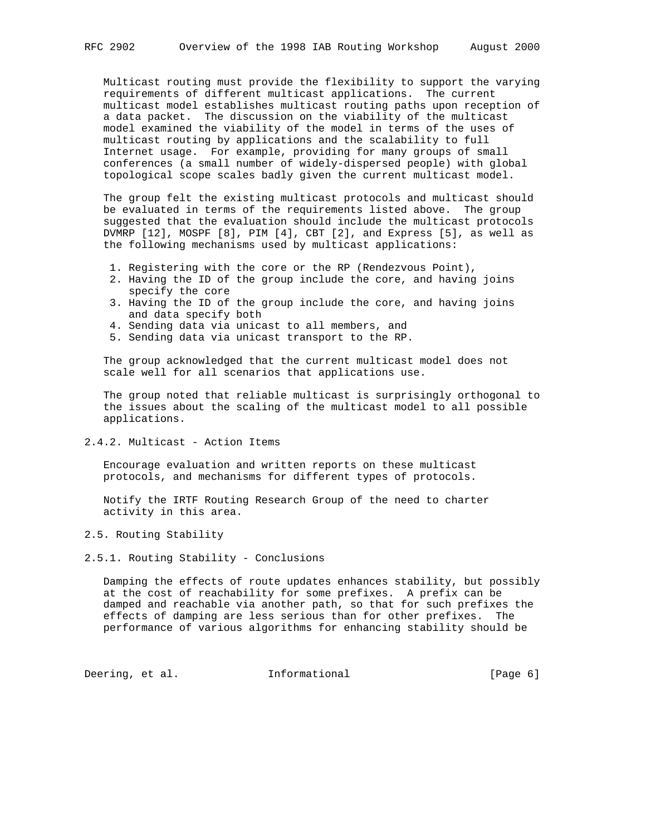Multicast routing must provide the flexibility to support the varying requirements of different multicast applications. The current multicast model establishes multicast routing paths upon reception of a data packet. The discussion on the viability of the multicast model examined the viability of the model in terms of the uses of multicast routing by applications and the scalability to full Internet usage. For example, providing for many groups of small conferences (a small number of widely-dispersed people) with global topological scope scales badly given the current multicast model.

 The group felt the existing multicast protocols and multicast should be evaluated in terms of the requirements listed above. The group suggested that the evaluation should include the multicast protocols DVMRP [12], MOSPF [8], PIM [4], CBT [2], and Express [5], as well as the following mechanisms used by multicast applications:

- 1. Registering with the core or the RP (Rendezvous Point),
- 2. Having the ID of the group include the core, and having joins specify the core
- 3. Having the ID of the group include the core, and having joins and data specify both
- 4. Sending data via unicast to all members, and
- 5. Sending data via unicast transport to the RP.

 The group acknowledged that the current multicast model does not scale well for all scenarios that applications use.

 The group noted that reliable multicast is surprisingly orthogonal to the issues about the scaling of the multicast model to all possible applications.

2.4.2. Multicast - Action Items

 Encourage evaluation and written reports on these multicast protocols, and mechanisms for different types of protocols.

 Notify the IRTF Routing Research Group of the need to charter activity in this area.

2.5. Routing Stability

2.5.1. Routing Stability - Conclusions

 Damping the effects of route updates enhances stability, but possibly at the cost of reachability for some prefixes. A prefix can be damped and reachable via another path, so that for such prefixes the effects of damping are less serious than for other prefixes. The performance of various algorithms for enhancing stability should be

Deering, et al. 1nformational 1999 [Page 6]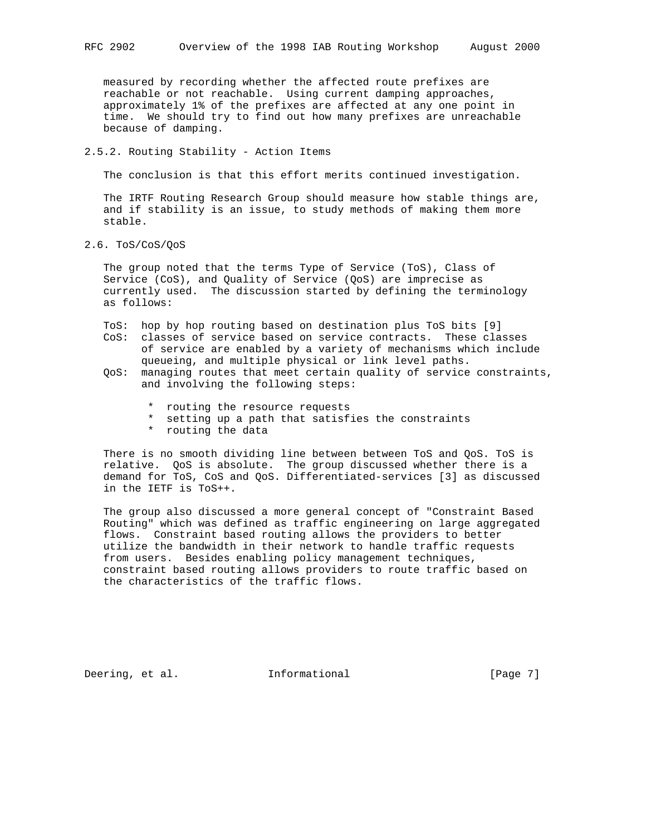measured by recording whether the affected route prefixes are reachable or not reachable. Using current damping approaches, approximately 1% of the prefixes are affected at any one point in time. We should try to find out how many prefixes are unreachable because of damping.

2.5.2. Routing Stability - Action Items

The conclusion is that this effort merits continued investigation.

 The IRTF Routing Research Group should measure how stable things are, and if stability is an issue, to study methods of making them more stable.

2.6. ToS/CoS/QoS

 The group noted that the terms Type of Service (ToS), Class of Service (CoS), and Quality of Service (QoS) are imprecise as currently used. The discussion started by defining the terminology as follows:

- ToS: hop by hop routing based on destination plus ToS bits [9] CoS: classes of service based on service contracts. These classes of service are enabled by a variety of mechanisms which include queueing, and multiple physical or link level paths.
- QoS: managing routes that meet certain quality of service constraints, and involving the following steps:
	- \* routing the resource requests
	- \* setting up a path that satisfies the constraints
	- \* routing the data

 There is no smooth dividing line between between ToS and QoS. ToS is relative. QoS is absolute. The group discussed whether there is a demand for ToS, CoS and QoS. Differentiated-services [3] as discussed in the IETF is ToS++.

 The group also discussed a more general concept of "Constraint Based Routing" which was defined as traffic engineering on large aggregated flows. Constraint based routing allows the providers to better utilize the bandwidth in their network to handle traffic requests from users. Besides enabling policy management techniques, constraint based routing allows providers to route traffic based on the characteristics of the traffic flows.

Deering, et al. **Informational** [Page 7]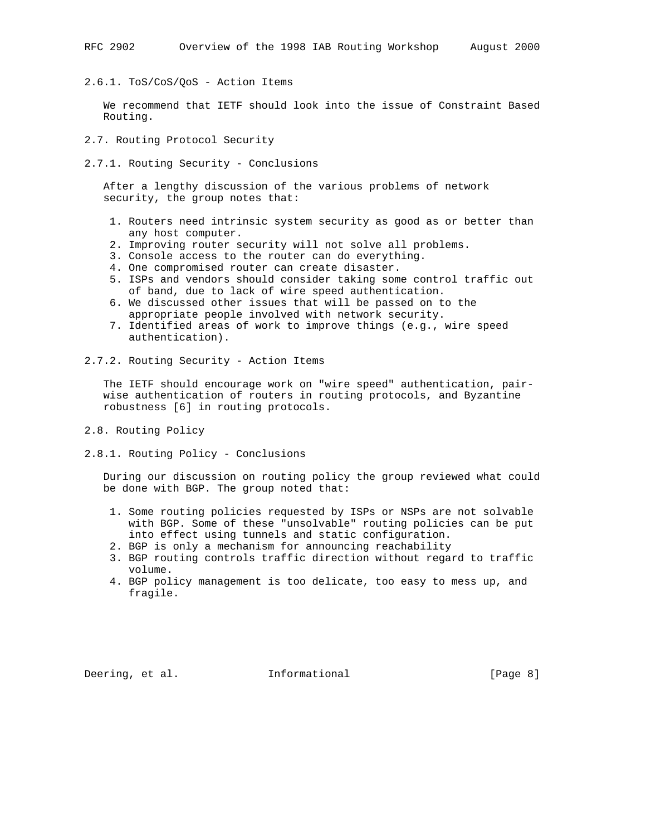2.6.1. ToS/CoS/QoS - Action Items

 We recommend that IETF should look into the issue of Constraint Based Routing.

- 2.7. Routing Protocol Security
- 2.7.1. Routing Security Conclusions

 After a lengthy discussion of the various problems of network security, the group notes that:

- 1. Routers need intrinsic system security as good as or better than any host computer.
- 2. Improving router security will not solve all problems.
- 3. Console access to the router can do everything.
- 4. One compromised router can create disaster.
- 5. ISPs and vendors should consider taking some control traffic out of band, due to lack of wire speed authentication.
- 6. We discussed other issues that will be passed on to the appropriate people involved with network security.
- 7. Identified areas of work to improve things (e.g., wire speed authentication).
- 2.7.2. Routing Security Action Items

 The IETF should encourage work on "wire speed" authentication, pair wise authentication of routers in routing protocols, and Byzantine robustness [6] in routing protocols.

- 2.8. Routing Policy
- 2.8.1. Routing Policy Conclusions

 During our discussion on routing policy the group reviewed what could be done with BGP. The group noted that:

- 1. Some routing policies requested by ISPs or NSPs are not solvable with BGP. Some of these "unsolvable" routing policies can be put into effect using tunnels and static configuration.
- 2. BGP is only a mechanism for announcing reachability
- 3. BGP routing controls traffic direction without regard to traffic volume.
- 4. BGP policy management is too delicate, too easy to mess up, and fragile.

Deering, et al. **Informational** [Page 8]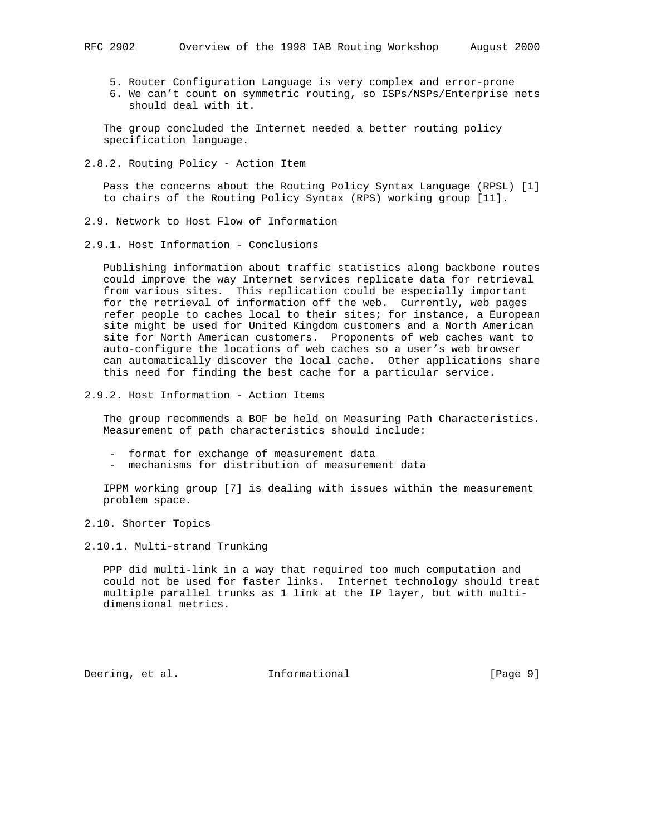- 5. Router Configuration Language is very complex and error-prone
- 6. We can't count on symmetric routing, so ISPs/NSPs/Enterprise nets should deal with it.

 The group concluded the Internet needed a better routing policy specification language.

2.8.2. Routing Policy - Action Item

 Pass the concerns about the Routing Policy Syntax Language (RPSL) [1] to chairs of the Routing Policy Syntax (RPS) working group [11].

- 2.9. Network to Host Flow of Information
- 2.9.1. Host Information Conclusions

 Publishing information about traffic statistics along backbone routes could improve the way Internet services replicate data for retrieval from various sites. This replication could be especially important for the retrieval of information off the web. Currently, web pages refer people to caches local to their sites; for instance, a European site might be used for United Kingdom customers and a North American site for North American customers. Proponents of web caches want to auto-configure the locations of web caches so a user's web browser can automatically discover the local cache. Other applications share this need for finding the best cache for a particular service.

2.9.2. Host Information - Action Items

 The group recommends a BOF be held on Measuring Path Characteristics. Measurement of path characteristics should include:

- format for exchange of measurement data
- mechanisms for distribution of measurement data

 IPPM working group [7] is dealing with issues within the measurement problem space.

2.10. Shorter Topics

2.10.1. Multi-strand Trunking

 PPP did multi-link in a way that required too much computation and could not be used for faster links. Internet technology should treat multiple parallel trunks as 1 link at the IP layer, but with multi dimensional metrics.

Deering, et al. **Informational** [Page 9]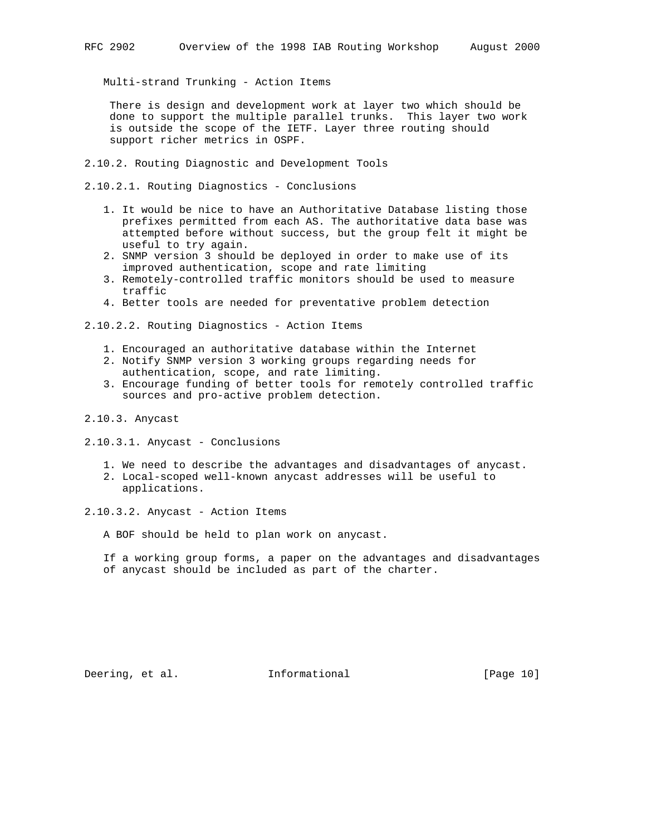Multi-strand Trunking - Action Items

 There is design and development work at layer two which should be done to support the multiple parallel trunks. This layer two work is outside the scope of the IETF. Layer three routing should support richer metrics in OSPF.

2.10.2. Routing Diagnostic and Development Tools

2.10.2.1. Routing Diagnostics - Conclusions

- 1. It would be nice to have an Authoritative Database listing those prefixes permitted from each AS. The authoritative data base was attempted before without success, but the group felt it might be useful to try again.
- 2. SNMP version 3 should be deployed in order to make use of its improved authentication, scope and rate limiting
- 3. Remotely-controlled traffic monitors should be used to measure traffic
- 4. Better tools are needed for preventative problem detection

2.10.2.2. Routing Diagnostics - Action Items

- 1. Encouraged an authoritative database within the Internet
- 2. Notify SNMP version 3 working groups regarding needs for authentication, scope, and rate limiting.
- 3. Encourage funding of better tools for remotely controlled traffic sources and pro-active problem detection.
- 2.10.3. Anycast
- 2.10.3.1. Anycast Conclusions
	- 1. We need to describe the advantages and disadvantages of anycast.
	- 2. Local-scoped well-known anycast addresses will be useful to applications.
- 2.10.3.2. Anycast Action Items

A BOF should be held to plan work on anycast.

 If a working group forms, a paper on the advantages and disadvantages of anycast should be included as part of the charter.

Deering, et al. 1nformational [Page 10]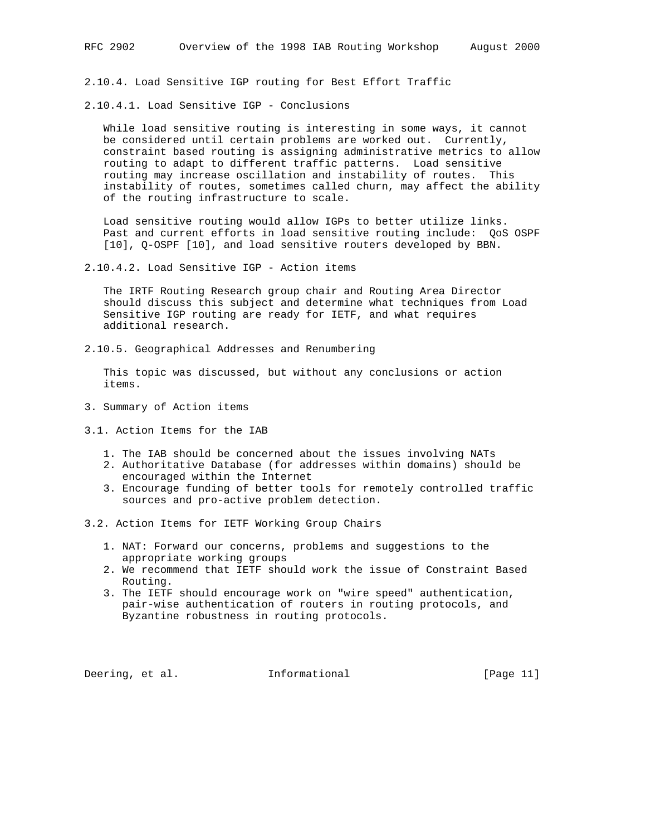2.10.4. Load Sensitive IGP routing for Best Effort Traffic

2.10.4.1. Load Sensitive IGP - Conclusions

 While load sensitive routing is interesting in some ways, it cannot be considered until certain problems are worked out. Currently, constraint based routing is assigning administrative metrics to allow routing to adapt to different traffic patterns. Load sensitive routing may increase oscillation and instability of routes. This instability of routes, sometimes called churn, may affect the ability of the routing infrastructure to scale.

 Load sensitive routing would allow IGPs to better utilize links. Past and current efforts in load sensitive routing include: QoS OSPF [10], Q-OSPF [10], and load sensitive routers developed by BBN.

2.10.4.2. Load Sensitive IGP - Action items

 The IRTF Routing Research group chair and Routing Area Director should discuss this subject and determine what techniques from Load Sensitive IGP routing are ready for IETF, and what requires additional research.

2.10.5. Geographical Addresses and Renumbering

 This topic was discussed, but without any conclusions or action items.

- 3. Summary of Action items
- 3.1. Action Items for the IAB
	- 1. The IAB should be concerned about the issues involving NATs
	- 2. Authoritative Database (for addresses within domains) should be encouraged within the Internet
	- 3. Encourage funding of better tools for remotely controlled traffic sources and pro-active problem detection.

3.2. Action Items for IETF Working Group Chairs

- 1. NAT: Forward our concerns, problems and suggestions to the appropriate working groups
- 2. We recommend that IETF should work the issue of Constraint Based Routing.
- 3. The IETF should encourage work on "wire speed" authentication, pair-wise authentication of routers in routing protocols, and Byzantine robustness in routing protocols.

Deering, et al. 1nformational 1999 [Page 11]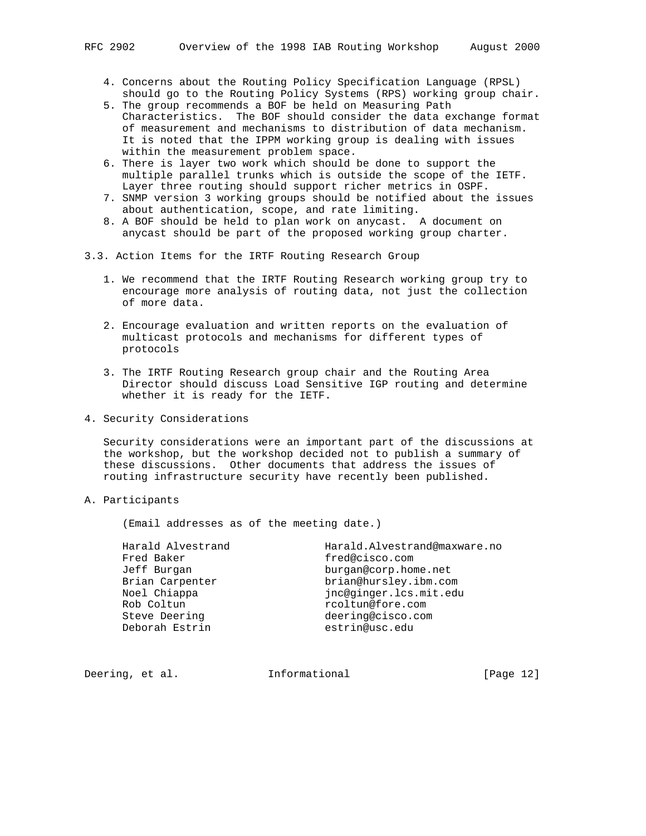- 4. Concerns about the Routing Policy Specification Language (RPSL) should go to the Routing Policy Systems (RPS) working group chair.
- 5. The group recommends a BOF be held on Measuring Path Characteristics. The BOF should consider the data exchange format of measurement and mechanisms to distribution of data mechanism. It is noted that the IPPM working group is dealing with issues within the measurement problem space.
- 6. There is layer two work which should be done to support the multiple parallel trunks which is outside the scope of the IETF. Layer three routing should support richer metrics in OSPF.
- 7. SNMP version 3 working groups should be notified about the issues about authentication, scope, and rate limiting.
- 8. A BOF should be held to plan work on anycast. A document on anycast should be part of the proposed working group charter.
- 3.3. Action Items for the IRTF Routing Research Group
	- 1. We recommend that the IRTF Routing Research working group try to encourage more analysis of routing data, not just the collection of more data.
	- 2. Encourage evaluation and written reports on the evaluation of multicast protocols and mechanisms for different types of protocols
	- 3. The IRTF Routing Research group chair and the Routing Area Director should discuss Load Sensitive IGP routing and determine whether it is ready for the IETF.
- 4. Security Considerations

 Security considerations were an important part of the discussions at the workshop, but the workshop decided not to publish a summary of these discussions. Other documents that address the issues of routing infrastructure security have recently been published.

A. Participants

(Email addresses as of the meeting date.)

| Harald Alvestrand | Harald.Alvestrand@maxware.no |
|-------------------|------------------------------|
| Fred Baker        | fred@cisco.com               |
| Jeff Burgan       | burgan@corp.home.net         |
| Brian Carpenter   | brian@hursley.ibm.com        |
| Noel Chiappa      | jnc@ginger.lcs.mit.edu       |
| Rob Coltun        | rcoltun@fore.com             |
| Steve Deering     | deering@cisco.com            |
| Deborah Estrin    | estrin@usc.edu               |
|                   |                              |

Deering, et al. **Informational** [Page 12]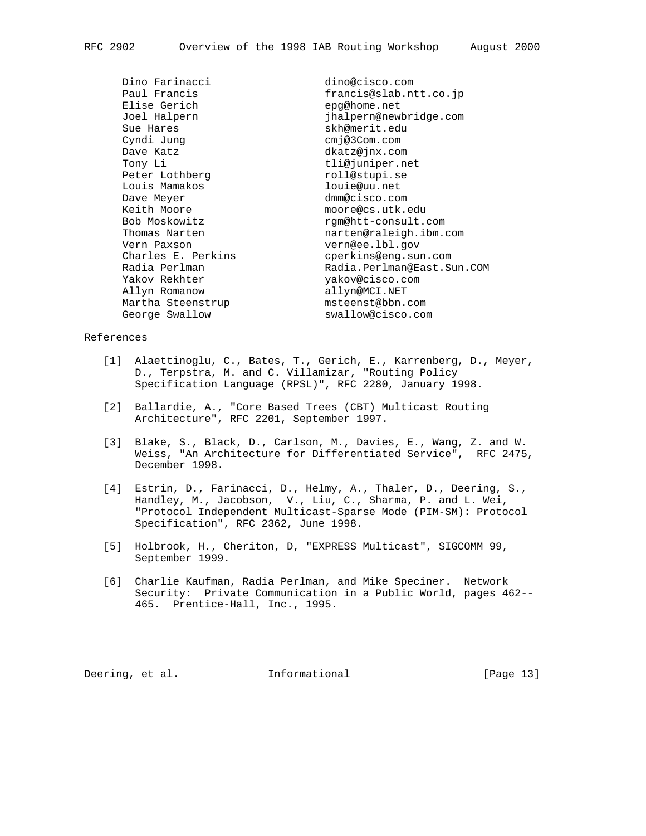Dino Farinacci dino@cisco.com Elise Gerich epg@home.net<br>Joel Halpern external epg@home.net Sue Hares skh@merit.edu Cyndi Jung cmj@3Com.com Dave Katz dkatz@jnx.com Tony Li tli@juniper.net Peter Lothberg metall@stupi.se Louis Mamakos louie@uu.net Dave Meyer dmm@cisco.com Keith Moore moore@cs.utk.edu Bob Moskowitz come rgm@htt-consult.com Vern Paxson vern@ee.lbl.gov Charles E. Perkins compared contrins@eng.sun.com Yakov Rekhter yakov@cisco.com Allyn Romanow allyn@MCI.NET Martha Steenstrup msteenst@bbn.com

francis@slab.ntt.co.jp jhalpern@newbridge.com Thomas Narten narten@raleigh.ibm.com Radia Perlman Radia.Perlman@East.Sun.COM George Swallow swallow@cisco.com

### References

- [1] Alaettinoglu, C., Bates, T., Gerich, E., Karrenberg, D., Meyer, D., Terpstra, M. and C. Villamizar, "Routing Policy Specification Language (RPSL)", RFC 2280, January 1998.
- [2] Ballardie, A., "Core Based Trees (CBT) Multicast Routing Architecture", RFC 2201, September 1997.
- [3] Blake, S., Black, D., Carlson, M., Davies, E., Wang, Z. and W. Weiss, "An Architecture for Differentiated Service", RFC 2475, December 1998.
- [4] Estrin, D., Farinacci, D., Helmy, A., Thaler, D., Deering, S., Handley, M., Jacobson, V., Liu, C., Sharma, P. and L. Wei, "Protocol Independent Multicast-Sparse Mode (PIM-SM): Protocol Specification", RFC 2362, June 1998.
- [5] Holbrook, H., Cheriton, D, "EXPRESS Multicast", SIGCOMM 99, September 1999.
- [6] Charlie Kaufman, Radia Perlman, and Mike Speciner. Network Security: Private Communication in a Public World, pages 462-- 465. Prentice-Hall, Inc., 1995.

Deering, et al. **Informational** [Page 13]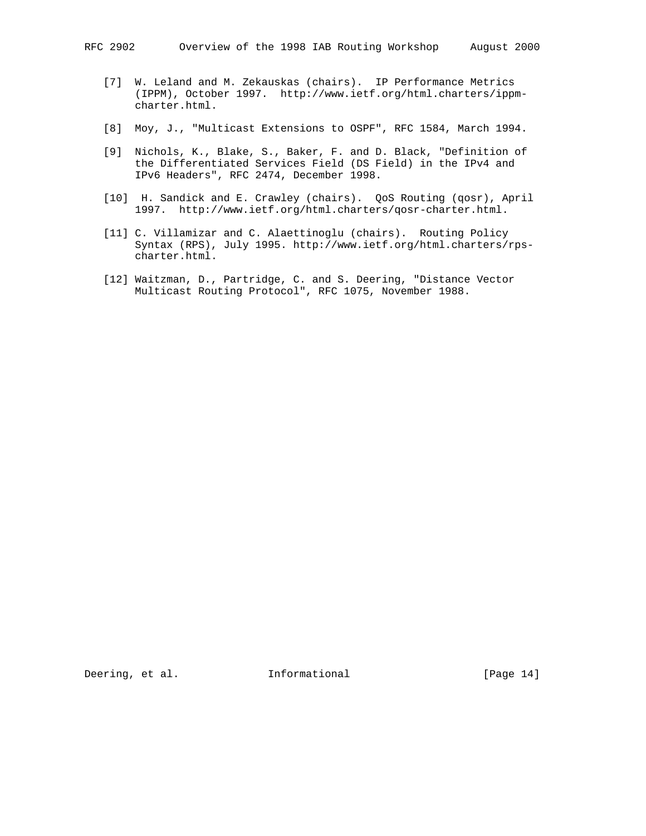- [7] W. Leland and M. Zekauskas (chairs). IP Performance Metrics (IPPM), October 1997. http://www.ietf.org/html.charters/ippm charter.html.
- [8] Moy, J., "Multicast Extensions to OSPF", RFC 1584, March 1994.
- [9] Nichols, K., Blake, S., Baker, F. and D. Black, "Definition of the Differentiated Services Field (DS Field) in the IPv4 and IPv6 Headers", RFC 2474, December 1998.
- [10] H. Sandick and E. Crawley (chairs). QoS Routing (qosr), April 1997. http://www.ietf.org/html.charters/qosr-charter.html.
- [11] C. Villamizar and C. Alaettinoglu (chairs). Routing Policy Syntax (RPS), July 1995. http://www.ietf.org/html.charters/rps charter.html.
- [12] Waitzman, D., Partridge, C. and S. Deering, "Distance Vector Multicast Routing Protocol", RFC 1075, November 1988.

Deering, et al. 1nformational [Page 14]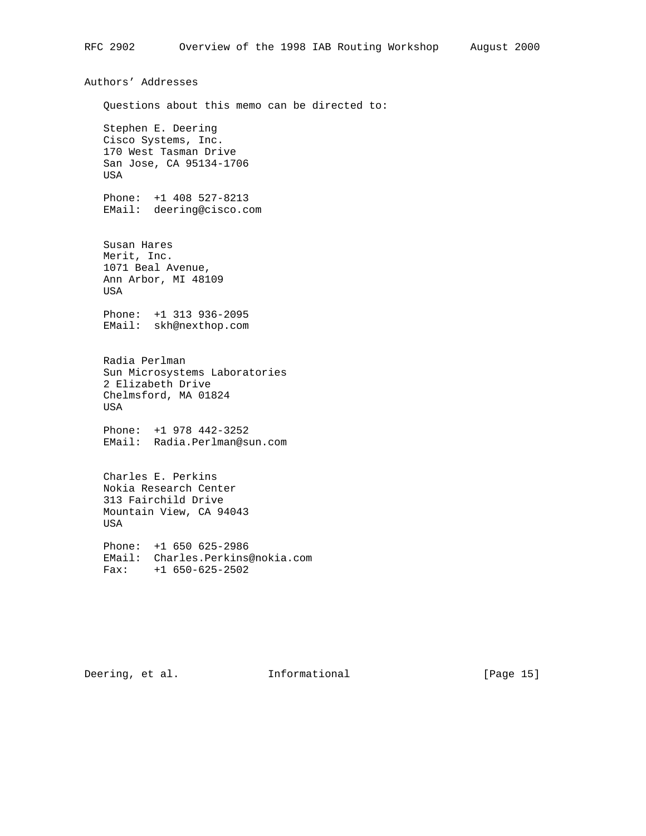Authors' Addresses Questions about this memo can be directed to: Stephen E. Deering Cisco Systems, Inc. 170 West Tasman Drive San Jose, CA 95134-1706 USA Phone: +1 408 527-8213 EMail: deering@cisco.com Susan Hares Merit, Inc. 1071 Beal Avenue, Ann Arbor, MI 48109 USA Phone: +1 313 936-2095 EMail: skh@nexthop.com Radia Perlman Sun Microsystems Laboratories 2 Elizabeth Drive Chelmsford, MA 01824 USA Phone: +1 978 442-3252 EMail: Radia.Perlman@sun.com Charles E. Perkins Nokia Research Center 313 Fairchild Drive Mountain View, CA 94043 USA Phone: +1 650 625-2986 EMail: Charles.Perkins@nokia.com Fax: +1 650-625-2502

Deering, et al. 1nformational [Page 15]